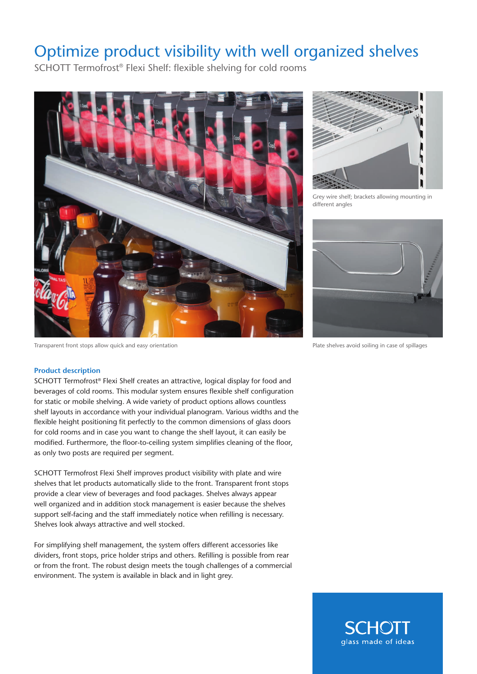## Optimize product visibility with well organized shelves

SCHOTT Termofrost® Flexi Shelf: flexible shelving for cold rooms



Transparent front stops allow quick and easy orientation



Grey wire shelf; brackets allowing mounting in different angles



Plate shelves avoid soiling in case of spillages

## **Product description**

SCHOTT Termofrost® Flexi Shelf creates an attractive, logical display for food and beverages of cold rooms. This modular system ensures flexible shelf configuration for static or mobile shelving. A wide variety of product options allows countless shelf layouts in accordance with your individual planogram. Various widths and the flexible height positioning fit perfectly to the common dimensions of glass doors for cold rooms and in case you want to change the shelf layout, it can easily be modified. Furthermore, the floor-to-ceiling system simplifies cleaning of the floor, as only two posts are required per segment.

SCHOTT Termofrost Flexi Shelf improves product visibility with plate and wire shelves that let products automatically slide to the front. Transparent front stops provide a clear view of beverages and food packages. Shelves always appear well organized and in addition stock management is easier because the shelves support self-facing and the staff immediately notice when refilling is necessary. Shelves look always attractive and well stocked.

For simplifying shelf management, the system offers different accessories like dividers, front stops, price holder strips and others. Refilling is possible from rear or from the front. The robust design meets the tough challenges of a commercial environment. The system is available in black and in light grey.

> **SCHOTT** glass made of ideas